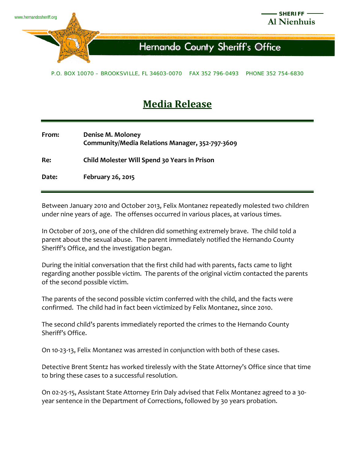

## **Hernando County Sheriff's Office**

P.O. BOX 10070 – BROOKSVILLE, FL 34603-0070 FAX 352 796-0493 PHONE 352 754-6830

## **Media Release**

| From: | Denise M. Moloney                               |
|-------|-------------------------------------------------|
|       | Community/Media Relations Manager, 352-797-3609 |
| Re:   | Child Molester Will Spend 30 Years in Prison    |

**Date: February 26, 2015**

Between January 2010 and October 2013, Felix Montanez repeatedly molested two children under nine years of age. The offenses occurred in various places, at various times.

In October of 2013, one of the children did something extremely brave. The child told a parent about the sexual abuse. The parent immediately notified the Hernando County Sheriff's Office, and the investigation began.

During the initial conversation that the first child had with parents, facts came to light regarding another possible victim. The parents of the original victim contacted the parents of the second possible victim.

The parents of the second possible victim conferred with the child, and the facts were confirmed. The child had in fact been victimized by Felix Montanez, since 2010.

The second child's parents immediately reported the crimes to the Hernando County Sheriff's Office.

On 10-23-13, Felix Montanez was arrested in conjunction with both of these cases.

Detective Brent Stentz has worked tirelessly with the State Attorney's Office since that time to bring these cases to a successful resolution.

On 02-25-15, Assistant State Attorney Erin Daly advised that Felix Montanez agreed to a 30 year sentence in the Department of Corrections, followed by 30 years probation.